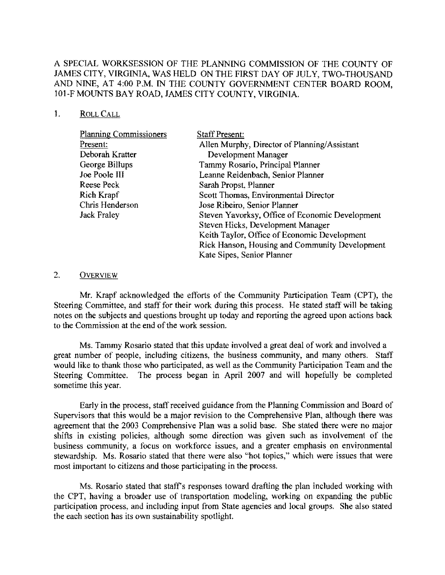# A SPECIAL WORKSESSION OF THE PLANNING COMMISSION OF THE COUNTY OF JAMES CITY, VIRGINIA, WAS HELD ON THE FIRST DAY OF JULY, TWO-THOUSAND AND NINE, AT 4:00 P.M. IN THE COUNTY GOVERNMENT CENTER BOARD ROOM, 101-F MOUNTS BAY ROAD, JAMES CITY COUNTY, VIRGINIA.

### I. ROLLCALL

| <b>Planning Commissioners</b> | <b>Staff Present:</b>                           |
|-------------------------------|-------------------------------------------------|
| Present:                      | Allen Murphy, Director of Planning/Assistant    |
| Deborah Kratter               | Development Manager                             |
| George Billups                | Tammy Rosario, Principal Planner                |
| <b>Joe Poole III</b>          | Leanne Reidenbach, Senior Planner               |
| Reese Peck                    | Sarah Propst, Planner                           |
| Rich Krapf                    | Scott Thomas, Environmental Director            |
| Chris Henderson               | Jose Ribeiro, Senior Planner                    |
| <b>Jack Fraley</b>            | Steven Yavorksy, Office of Economic Development |
|                               | Steven Hicks, Development Manager               |
|                               | Keith Taylor, Office of Economic Development    |
|                               | Rick Hanson, Housing and Community Development  |
|                               | Kate Sipes, Senior Planner                      |

### 2. OVERVIEW

Mr. Krapf acknowledged the efforts of the Community Participation Team (CPT), the Steering Committee, and staff for their work during this process. He stated staff will be taking notes on the subjects and questions brought up today and reporting the agreed upon actions back to the Commission at the end of the work session.

Ms. Tammy Rosario stated that this update involved a great deal of work and involved a great number of people, including citizens, the business community, and many others. Staff would like to thank those who participated, as well as the Community Participation Team and the Steering Committee. The process began in April 2007 and will hopefully be completed sometime this year.

Early in the process, staff received guidance from the Planning Commission and Board of Supervisors that this would be a major revision to the Comprehensive Plan, although there was agreement that the 2003 Comprehensive Plan was a solid base. She stated there were no major shifts in existing policies, although some direction was given such as involvement of the business community, a focus on workforce issues, and a greater emphasis on environmental stewardship. Ms. Rosario stated that there were also "hot topics," which were issues that were most important to citizens and those participating in the process.

Ms. Rosario stated that staff's responses toward drafting the plan included working with the CPT, having a broader use of transportation modeling, working on expanding the public participation process, and including input from State agencies and local groups. She also stated the each section has its own sustainability spotlight.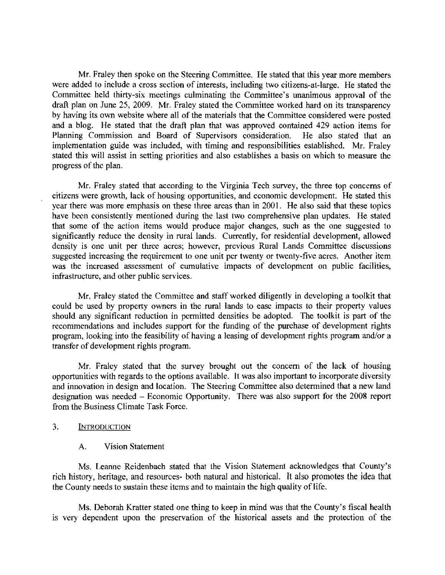Mr. Fraley then spoke on the Steering Committee. He stated that this year more members were added to include a cross section of interests, including two citizens-at-large. He stated the Committee held thirty-six meetings culminating the Committee's unanimous approval of the draft plan on June 25, 2009. Mr. Fraley stated the Committee worked hard on its transparency by having its own website where all of the materials that the Committee considered were posted and a blog. He stated that the draft plan that was approved contained 429 action items for Planning Commission and Board of Supervisors consideration. He also stated that an implementation guide was included, with timing and responsibilities established. Mr. Fraley stated this will assist in setting priorities and also establishes a basis on which to measure the progress of the plan.

Mr. Fraley stated that according to the Virginia Tech survey, the three top concerns of citizens were growth, lack of housing opportunities, and economic development. He stated this year there was more emphasis on these three areas than in 2001. He also said that these topics have been consistently mentioned during the last two comprehensive plan updates. He stated that some of the action items would produce major changes, such as the one suggested to significantly reduce the density in rural lands. Currently, for residential development, allowed density is one unit per three acres; however, previous Rural Lands Committee discussions suggested increasing the requirement to one unit per twenty or twenty-five acres. Another item was the increased assessment of cumulative impacts of development on public facilities, infrastructure, and other public services.

Mr. Fraley stated the Committee and staff worked diligently in developing a toolkit that could be used by property owners in the rural lands to ease impacts to their property values should any significant reduction in permitted densities be adopted. The toolkit is part of the recommendations and includes support for the funding of the purchase of development rights program, looking into the feasibility of having a leasing of development rights program and/or a transfer of development rights program.

Mr, Fraley stated that the survey brought out the concern of the lack of housing opportunities with regards to the options available. It was also important to incorporate diversity and innovation in design and location, The Steering Committee also determined that a new land designation was needed - Economic Opportunity. There was also support for the 2008 report from the Business Climate Task Force.

### 3. INTRODUCTION

#### A. Vision Statement

Ms, Leanne Reidenbach stated that the Vision Statement acknowledges that County's rich history, heritage, and resources- both natural and historical. It also promotes the idea that the County needs to sustain these items and to maintain the high quality of life.

Ms. Deborah Kratter stated one thing to keep in mind was that the County's fiscal health is very dependent upon the preservation of the historical assets and the protection of the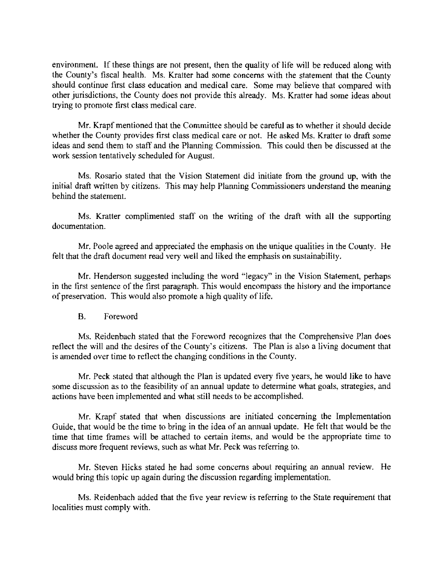environment. If these things are not present, then the quality of life will be reduced along with the County's fiscal health. Ms. Kratter had some concerns with the statement that the County should continue first class education and medical care. Some may believe that compared with other jurisdictions, the County does not provide this already. Ms. Kratter had some ideas ahout trying to promote first class medical care.

Mr. Krapf mentioned that the Committee should be careful as to whether it should decide whether the County provides first class medical care or not. He asked Ms. Kratter to draft some ideas and send them to staff and the Planning Commission. This could then be discussed at the work session tentatively scheduled for August.

Ms. Rosario stated that the Vision Statement did initiate from the ground up, with the initial draft written by citizens. This may help Planning Commissioners understand the meaning behind the statement.

Ms. Kratter complimented staff on the writing of the draft with all the supporting documentation.

Mr. Poole agreed and appreciated the emphasis on the unique qualities in the County, He felt that the draft document read very well and liked the emphasis on sustainability.

Mr. Henderson suggested including the word "legacy" in the Vision Statement, perhaps in the first sentence of the first paragraph. This would encompass the history and the importance of preservation. This would also promote a high quality of life.

B. Foreword

Ms. Reidenbach stated that the Foreword recognizes that the Comprehensive Plan does reflect the will and the desires of the County's citizens. The Plan is also a living document that is amended over time to reflect the changing conditions in the County.

Mr. Peck stated that although the Plan is updated every five years, he would like to have some discussion as to the feasibility of an annual update to determine what goals, strategies, and actions have been implemented and what stilI needs to be accomplished.

Mr. Krapf stated that when discussions are initiated concerning the Implementation Guide, that would be the time to bring in the idea of an annual update. He felt that would be the time that time frames will be attached to certain items, and would be the appropriate time to discuss more frequent reviews, such as what Mr. Peck was referring to.

Mr. Steven Hicks stated he had some concerns about requiring an annual review. He would bring this topic up again during the discussion regarding implementation.

Ms. Reidenbach added that the five year review is referring to the State requirement that localities must comply with.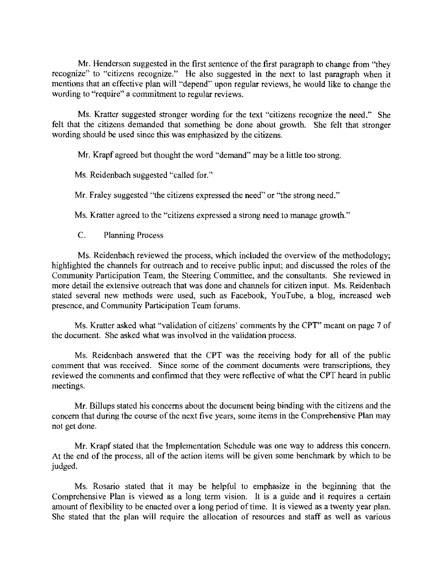Mr. Henderson suggested in the first sentence of the first paragraph to change from "they recognize" to "citizens recognize." He also suggested in the next to last paragraph when it mentions that an effective plan will "depend" upon regular reviews, he would like to change the wording to "require" a commitment to regular reviews.

Ms. Kratter suggested stronger wording for the text "citizens recognize the need." She felt that the citizens demanded that something be done about growth. She felt that stronger wording should be used since this was emphasized by the citizens.

Mr. Krapf agreed but thought the word "demand" may be a little too strong.

Ms. Reidenbach suggested "called for."

Mr. Fraley suggested "the citizens expressed the need" or "the strong need."

Ms. Kratter agreed to the "citizens expressed a strong need to manage growth."

C. Planning Process

Ms. Reidenbach reviewed the process, which included the overview of the methodology; highlighted the channels for outreach and to receive public input; and discussed the roles of the Community Participation Team, the Steering Committee, and the consultants. She reviewed in more detail the extensive outreach that was done and channels for citizen input. Ms. Reidenbach stated several new methods were used, such as Facebook, YouTube, a blog, increased web presence, and Community Participation Team forums.

Ms. Kratter asked what "validation of citizens' comments by the CPT" meant on page 7 of the document. She asked what was involved in the validation process.

Ms. Reidenbach answered that the CPT was the receiving body for all of the public comment that was received. Since some of the comment documents were transcriptions, they reviewed the comments and confinned that they were reflective of what the CPT heard in public meetings.

Mr. Billups stated his concerns about the document being binding with the citizens and the concern that during the course of the next five years, some items in the Comprehensive Plan may not get done.

Mr. Krapf stated that the Implementation Schedule was one way to address this concern. At the end of the process, all of the action items will be given some benchmark by which to be judged.

Ms. Rosario stated that it may be helpful to emphasize in the beginning that the Comprehensive Plan is viewed as a long term vision. It is a guide and it requires a certain amount of flexibility to be enacted over a long period of time. It is viewed as a twenty year plan. She stated that the plan will require the allocation of resources and staff as well as various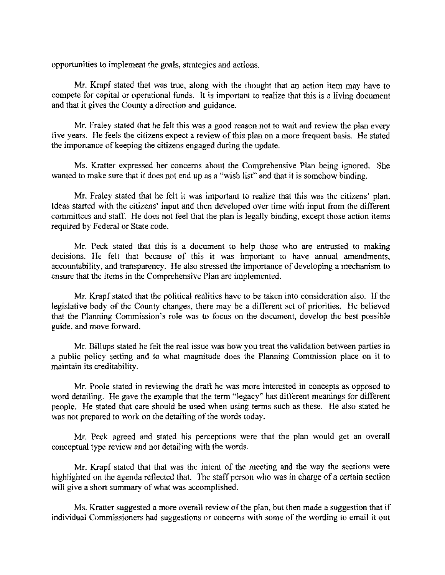opportunities to implement the goals, strategies and actions.

Mr. Krapf stated that was true, along with the thought that an action item may have to compete for capital or operational funds. It is important to realize that this is a living document and that **it** gives thc County a direction and guidance.

Mr. Fraley stated that he felt this was a good reason not to wait and review the plan every five years. He feels the citizens expect a review of this plan on a more frequent basis. He stated the importance of keeping the citizens engaged during the update.

Ms. Kratter expressed her concerns about the Comprehensive Plan being ignored. She wanted to make sure tbat it does not end up as a "wish list" and that it is somehow binding.

Mr. Fraley stated that he felt it was important to realize that this was the citizens' plan. Ideas started with the citizens' input and then developed over time with input from the different committees and staff. He does not feel that the plan is legally binding, except those action items required by Federal or State code.

Mr. Peck stated that this is a document to help those who are entrusted to making decisions. He felt that because of this it was important to have annual amendments, accountability. and transparency. He also stressed the importance of developing a mechanism to ensure that the items in the Comprehensive Plan are implemented.

Mr. Krapf stated that the political realities have to be taken into consideration also. If the legislative body of the County changes, there may be a different set of priorities. He believed that the Planning Commission's role was to focus on the document, develop the best possible guide, and move forward.

Mr. Billups stated he felt the real issue was how you treat the validation between parties in a public policy setting and to what magnitude does the Planning Commission place on it to maintain its creditability.

Mr. Poole stated in reviewing the draft he was more interested in concepts as opposed to word detailing. He gave the example that the term "legacy" has different meanings for different people. He stated that care should be used when using terms such as these. He also stated he was not prepared to work on the detailing of the words today.

Mr. Peck agreed and stated his perceptions were that the plan would get an overall conceptual type review and not detailing with the words.

Mr. Krapf stated that that was the intent of the meeting and the way the sections were highlighted on the agenda reflected that. The staff person who was in charge of a certain section will give a short summary of what was accomplished.

Ms. Kratter suggested a more overall review of the plan, but then made a suggestion that if individual Commissioners had suggestions or concerns with some of the wording to email it out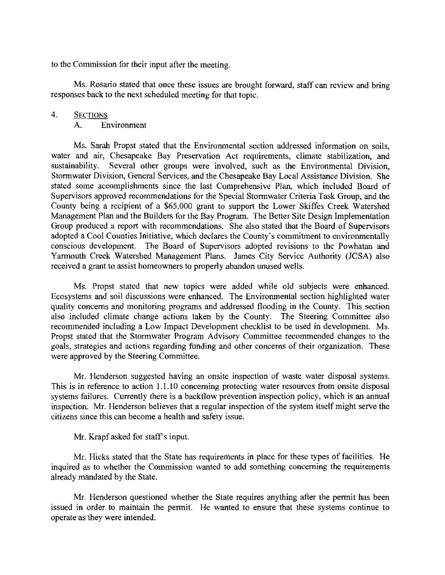to the Commission for their input after the meeting.

Ms. Rosario stated that once these issues are brought forward, staff can review and bring responses back to the next scheduled meeting for that topic.

## 4. SECTIONS

A. Environment

Ms. Sarah Propst stated that the Environmental section addressed information on soils, water and air, Chesapeake Bay Preservation Act requirements, climate stabilization, and sustainability. Several other groups were involved, such as the Environmental Division, Stormwater Division, General Services, and the Chesapeake Bay Local Assistance Division. She stated some accomplishments since the last Comprehensive Plan, which included Board of Supervisors approved recommendations for the Special Stormwater Criteria Task Group, and the County being a reeipient of a \$65,000 grant to support the Lower Skiffes Creek Watershed Management Plan and the Builders for the Bay Program. The Better Site Design Implementation Group produced a report with recommendations. She also stated that the Board of Supervisors adopted a Cool Counties Initiative, which declares the County's commitment to environmentally conscious development. The Board of Supervisors adopted revisions to the Powhatan and Yarmouth Creek Watershed Management Plans. James City Service Authority (JCSA) also received a grant to assist homeowners to properly abandon unused wells.

Ms. Propst stated that new topics were added while old subjects were enhanced. Ecosystems and soil discussions were enhanced. The Environmental section highlighted water quality concerns and monitoring programs and addressed flooding in the County. This section also included climate change actions taken by the County. The Steering Committee also recommended including a Low Impact Development checklist to be used in development. Ms. Propst stated that the Storm water Program Advisory Committee recommended changes to the goals, strategies and actions regarding funding and other concerns of their organization. These were approved by the Steering Committee.

Mr. Henderson suggested having an onsite inspection of waste water disposal systems. This is in reference to action 1.1.10 concerning protecting water resources from onsite disposal systems failures. Currently there is a backtlow prevention inspection policy, which is an annual inspection. Mr. Henderson believes that a regular inspection of the system itself might serve the citizens since this can become a health and safety issue.

Mr. Krapf asked for staff's input.

Mr. Hicks stated that the State has requirements in place for these types of facilities. He inquired as to whether the Commission wanted to add something eoncerning the requirements already mandated by the State.

Mr. Henderson questioned whether the State requires anything after the permit has been issued in order to maintain the permit. He wanted to ensure that these systems continue to operate as they were intended.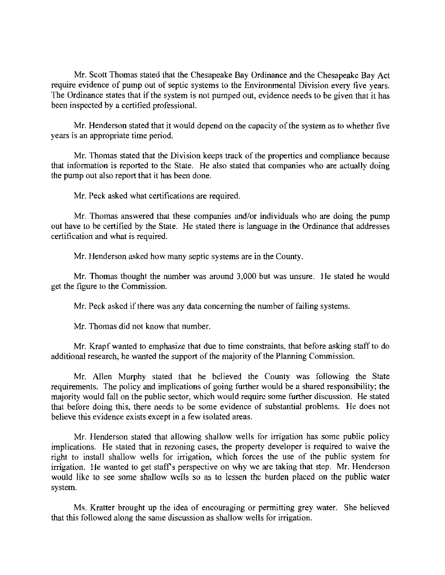Mr. Scott Thomas stated that the Chesapeake Bay Ordinance and the Chesapeake Bay Act require evidence of pump out of septic systems to the Environmental Division every five years. The Ordinance states that if the system is not pumped out, evidence needs to be given that it has been inspected by a certified professional.

Mr. Henderson stated that it would depend on the capacity of the system as to whether five years is an appropriate time period.

Mr. Thomas stated that the Division keeps track of the properties and compliance because that information is reported to the State. He also stated that companies who are actually doing the pump out also report that it has been done.

Mr. Peck asked what certifications are required.

Mr. Thomas answered that these companies and/or individuals who are doing the pump out have to be certified by the State. He stated there is language in the Ordinance that addresses certification and what is required.

Mr. Henderson asked how many septic systems are in the County.

Mr. Thomas thought the number was around 3,000 but was unsure. He stated he would get the figure to the Commission.

Mr. Peck asked if there was any data concerning the number of failing systems.

Mr. Thomas did not know that number.

Mr. Krapf wanted to emphasize that due to time constraints, that before asking staff to do additional research, he wanted the support of the majority of the Planning Commission.

Mr. Allen Murphy stated that he believed the County was following the State requirements. The policy and implications of going further would be a shared responsibility; the majority would fall on the public sector, which would require some further discussion. He stated that before doing this, there needs to be some evidence of substantial problems. He does not believe this evidence exists except in a few isolated areas.

Mr. Henderson stated that allowing shallow wells for irrigation has some public policy implications. He stated that in rezoning cases, the property developer is required to waive the right to install shallow wells for irrigation, which forces the use of the public system for irrigation. He wanted to get staff's perspective on why we are taking that step. Mr. Henderson would like to see some shallow wells so as to lessen the burden placed on the publie water system.

Ms. Kratter brought up the idea of encouraging or permitting grey water. She believed that this followed along the same discussion as shallow wells for irrigation.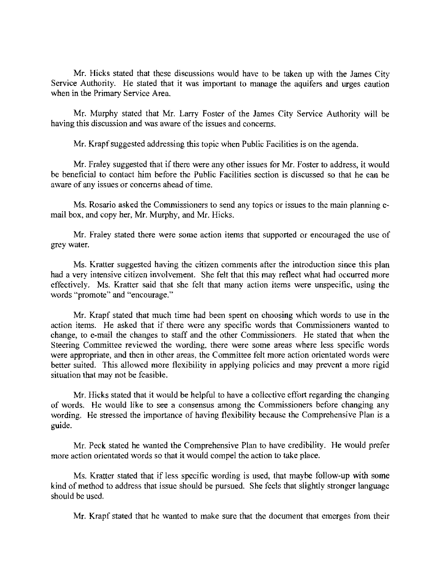Mr. Hicks stated that these discussions would have to be takcn up with the James City Service Authority. He stated that it was important to manage the aquifers and urges caution when in the Primary Service Area.

Mr. Murphy stated that Mr. Larry Foster of the James City Service Authority will be having this discussion and was aware of the issues and concerns.

Mr. Krapf suggested addressing this topic when Public Facilities is on the agenda.

Mr. Fraley suggested that if there were any other issues for Mr. Foster to address, it would be beneficial to contact him before the Public Facilities section is discussed so that he can be aware of any issues or concerns ahead of time.

Ms. Rosario asked the Commissioners to send any topics or issues to the main planning email box, and copy her, Mr. Murphy, and Mr. Hicks.

Mr. Fraley stated there were some action items that supported or encouraged the use of grey water.

Ms. Kratter suggested having the citizen comments after the introduction since this plan had a very intensive citizen involvement. She felt that this may reflect what had occurred more effectively. Ms. Kratter said that she felt that many action items were unspecific, using the words "promote" and "encourage."

Mr. Krapf stated that much time had been spent on choosing which words to use in the action items. He asked that if there were any specific words that Commissioners wanted to change, to e-mail the changes to staff and the other Commissioners. He stated that when the Steering Committee reviewed the wording, there were some areas where less specific words were appropriate, and then in other areas, the Committee felt more action orientated words were better suited. This allowed more flexibility in applying policies and may prevent a more rigid situation that may not be feasible.

Mr. Hicks stated that it would be helpful to have a collective effort regarding the changing of words. He would like to see a consensus among the Commissioners before changing any wording. He stressed the importance of having flexibility because the Comprehensive Plan is a guide.

Mr, Peck stated he wanted the Comprehensive Plan to have credibility. He would prefer more action orientated words so that it would compel the action to take place.

Ms. Kratter stated that if less specific wording is used, that maybe follow-up with some kind of method to address that issue should be pursued. She feels that slightly stronger language should be used.

Mr. Krapf stated that he wanted to make sure that the document that emerges from their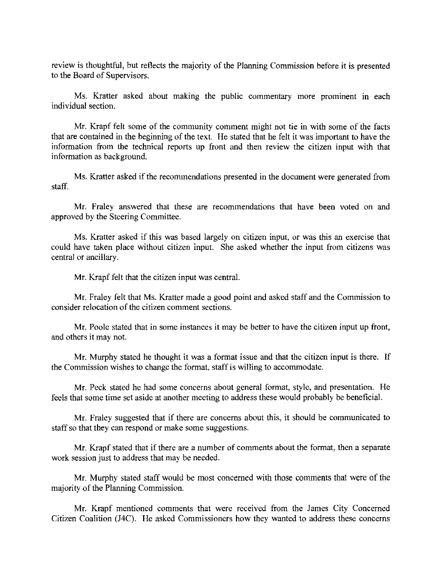review is thoughtful, but reflects the majority of the Planning Commission before it is presented to the Board of Supervisors.

Ms. Kratter asked about making the public commentary more prominent in each individual section.

Mr. Krapf felt some of the community comment might not tie in with some of the facts that are contained in the beginning of the text. He stated that he felt it was important to have the information from the technical reports up front and then review the citizen input with that information as background.

Ms. Kratter asked if the recommendations presented in the document were generated from staff.

Mr. Fraley answered that these are recommendations that have been voted on and approved by the Steering Committee.

Ms. Kratter asked if this was based largely on citizen input, or was this an exercise that could have taken place without citizen input. She asked whether the input from citizens was central or ancillary.

Mr. Krapf felt that the citizen input was central.

Mr. Fraley felt that Ms. Kratter made a good point and asked staff and the Commission to consider relocation of the citizen comment sections.

Mr. Poole stated that in some instances it may be better to have the citizen input up front, and others it may not.

Mr. Murphy statcd he thought it was a format issue and that the citizen input is there. **If**  the Commission wishes to change the format, staff is willing to accommodate.

Mr. Peck stated he had some concerns about general format, style, and presentation. He feels that some time set aside at another meeting to address these would probably be beneficial.

Mr. Fraley suggested that if there are concerns about this, it should be communicated to staff so that they can respond or make some suggestions.

Mr. Krapf stated that if there are a number of comments about the format. then a separate work session just to address that may be needed.

Mr. Murphy stated staff would be most concerned with those comments that were of the majority of the Planning Commission.

Mr. Krapf mentioned comments that were received from the James City Concerned Citizen Coalition (J4C). He asked Commissioners how they wanted to address these concerns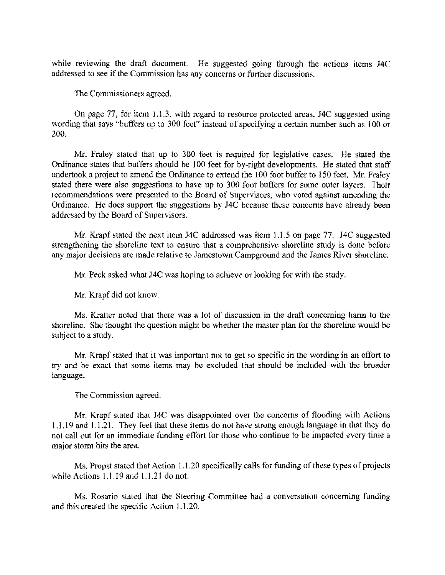while reviewing the draft document. He suggested going through the actions items J4C addressed to see if the Commission has any concerns or further discussions.

The Commissioners agreed.

On page 77, for item 1.1.3, with regard to resource protected areas, J4C suggested using wording that says "buffers up to 300 feet" instead of specifying a certain number such as 100 or 200.

Mr. Fraley stated that up to 300 feet is required for legislative cases. He stated the Ordinance states that buffers should be 100 feet for by-right developments. He stated that staff undertook a project to amend the Ordinance to extend the 100 foot buffer to 150 feet. Mr. Fraley stated there were also suggestions to have up to 300 foot buffers for some outer layers. Their recommendations were presented to the Board of Supervisors, who voted against amending the Ordinance. He does support the suggestions by J4C because these concerns have already been addressed by the Board of Supervisors.

Mr. Krapf stated the next item J4C addressed was item 1.1.5 on page 77. J4C suggested strengthening the shoreline text to ensure that a comprehensive shoreline study is done before any major decisions are made relative to Jamestown Campground and the James River shoreline.

Mr. Peck asked what J4C was hoping to achieve or looking for with the study.

Mr. Krapf did not know.

Ms. Kratter noted that there was a lot of discussion in the draft concerning harm to the shoreline. She thought the question might be whether the master plan for the shoreline would be subject to a study.

Mr. Krapf stated that it was important not to get so specific in the wording in an effort to try and be exact that some items may be excluded that should be included with the broader language.

The Commission agreed.

Mr. Krapf stated that J4C was disappointed over the concerns of flooding with Actions 1.1.19 and 1.1.21. They feel that these items do not have strong enough language in that they do not call out for an immediate funding effort for those who continue to be impacted every time a major storm hits the area.

Ms. Propst stated that Action 1.1.20 specifically calls for funding of these types of projects while Actions 1.1.19 and 1.1.21 do not.

Ms. Rosario stated that the Steering Committee had a conversation concerning funding and this created the specific Action 1.1.20.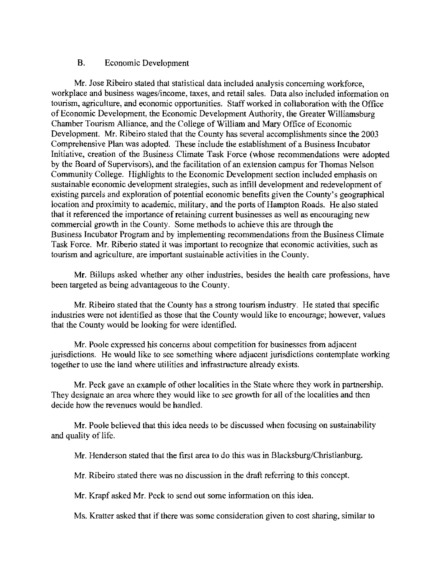## B. Economic Development

Mr. Jose Ribeiro stated that statistical data included analysis concerning workforce, workplace and business wages/income, taxes, and retail sales. Data also included information on tourism, agriculture, and economic opportunities. Staff worked in collaboration with the Office ofEconomic Development, the Economic Development Authority, the Greater Williamsburg Chamber Tourism Alliance, and the College of William and Mary Office of Economic Development. Mr. Ribeiro stated that the County has several accomplishments since the 2003 Comprehensive Plan was adopted. These include the establishment of a Business Incubator Initiative, creation of the Business Climate Task Force (whose recommendations were adopted by the Board of Supervisors), and the facilitation of an extension campus for Thomas Nelson Community College. Highlights to the Economic Development section included emphasis on sustainable economic development strategies, such as infill development and redevelopment of existing parcels and exploration of potential economic benefits given the County's geographical location and proximity to academic, military, and the ports of Hampton Roads. He also stated that it referenced the importance of retaining current businesses as well as encouraging new commercial growth in the County. Some methods to achieve this are through the Business Incubator Program and by implementing recommendations from the Business Climate Task Force. Mr. Riberio stated it was important to recognize that economic activities, such as tourism and agriculture, are important sustainable activities in the County.

**Mr.** Billups asked whether any other industries, besides the health care professions, have been targeted as being advantageous to the County.

Mr. Ribeiro stated that the County has a strong tourism industry. He stated that specific industries were not identified as those that the County would like to encourage; however, values that the County would be looking for were identified.

Mr. Poole expressed his concerns about competition for businesses from adjacent jurisdictions. He would like to see something where adjacent jurisdictions contemplate working together to use the land where utilities and infrastructure already exists.

Mr. Peck gave an example of other localities in the State where they work in partnership. They designate an area where they would like to see growth for all of the localities and then decide how the revenues would be handled.

Mr. Poole believed that this idea needs to be discussed when focusing on sustainability and quality of life.

Mr. Henderson stated that the first area to do this was in Blacksburg/Christianburg.

Mr. Ribeiro stated there was no discussion in the draft referring to this concept.

Mr. Krapf asked Mr. Peek to send out some information on this idea.

Ms. Kratter asked that if there was some consideration given to cost sharing, similar to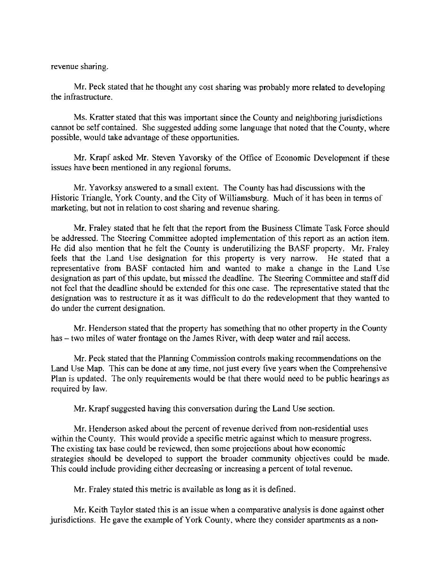revenue sharing.

Mr. Peck stated that he thought any cost sharing was probably more related to developing the infrastructure.

Ms. Kratter stated that this was important since the County and neighboring jurisdictions cannot be self contained. She suggested adding some language that noted that the County, where possible, would take advantage of these opportunities.

Mr. Krapf asked Mr. Steven Yavorsky of the Office of Economic Development if these issues have been mentioned in any regional forums.

Mr. Yavorksy answered to a small extent. The County has had discussions with the Historic Triangle, York County, and the City of Williamsburg. Much of it has been in terms of marketing, but not in relation to cost sharing and revenue sharing.

Mr. Fraley stated that he felt that the report from the Business Climate Task Force should be addressed. The Steering Committee adopted implementation of this report as an action item. He did also mention that he felt the County is underutilizing the BASF property. Mr. Fraley feels that the Land Use designation for this property is very narrow. He stated that a representative from BASF contacted him and wanted to make a change in the Land Use designation as part of this update, but missed the deadline. The Steering Committee and staff did not feel that the deadline should be extended for this one case. The representative stated that the designation was to restructure it as it was difficult to do the redevelopment that they wanted to do under the current designation.

Mr. Henderson stated that the property has something that no other property in the County has – two miles of water frontage on the James River, with deep water and rail access.

Mr. Peck stated that the Planning Commission controls making recommendations on the Land Use Map. This can be done at any time, not just every five years when the Comprehensive Plan is updated. The only requirements would be that there would need to be public hearings as required by law.

Mr. Krapf suggested having this conversation during the Land Use section.

Mr. Henderson asked about the percent of revenue derived from non-residential uses within the County. This would provide a specific metric against which to measure progress. The existing tax base could be reviewed, then some projections about how economic strategies should be developed to support the broader community objectives could be made. This could include providing either decreasing or increasing a percent of total revenue.

Mr. Fraley stated this metric is available as long as it is defined.

Mr. Keith Taylor stated this is an issue when a comparative analysis is done against other jurisdictions. He gave the example of York County, where they consider apartments as a non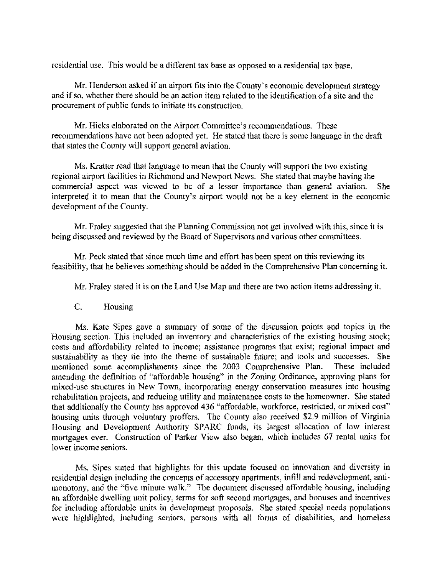residential use. This would be a different tax base as opposed to a residential tax base.

Mr. Henderson asked if an airport fits into the County's economic development strategy and if so, whether there should be an action item related to the identification of a site and the procurement of public funds to initiate its construction.

Mr. Hicks elaborated on the Airport Committee's recommendations. These recommendations have not been adopted yet. He stated that there is some language in the draft that states the County will support general aviation.

Ms. Kratter read that language to mean that the County will support the two existing regional airport facilities in Richmond and Newport News. She stated that maybe having the commercial aspect was viewed to be of a lesser importance than general aviation. She interpreted it to mean that the County's airport would not be a key element in the economic development of the County.

Mr. Fraley suggested that the Planning Commission not get involved with this, since it is being discussed and reviewed by the Board of Supervisors and various other committees.

Mr. Peck stated that since much time and effort has been spent on this reviewing its feasibility, that he believes something should be added in the Comprehensive Plan concerning it.

Mr. Fraley stated it is on the Land Use Map and there are two action items addressing it.

C. Housing

Ms. Kate Sipes gave a summary of some of the discussion points and topics in the Housing section. This included an inventory and characteristics of the existing housing stock; costs and affordability related to income; assistance programs that exist; regional impact and sustainability as they tie into the theme of sustainable future; and tools and successes. She mentioned some accomplishments since the 2003 Comprehensive Plan. These included amending the definition of "affordable housing" in the Zoning Ordinance, approving plans for mixed-use structures in New Town, incorporating energy conservation measures into housing rehabilitation projects, and reducing utility and maintenance costs to the homeowner. She stated that additionally the County has approved 436 "affordable, workforce, restricted, or mixed cost" housing units through voluntary proffers. The County also received \$2.9 million of Virginia Housing and Development Authority SPARC funds, its largest allocation of low interest mortgages ever. Construction of Parker View also began, which includes 67 rental units for lower income seniors.

Ms. Sipes stated that highlights for this update focused on innovation and diversity in residential design including the concepts of accessory apartments, infill and redevelopment, antimonotony, and the "five minute walk." The document discussed affordable housing, including an affordable dwelling unit policy, terms for soft second mortgages, and bonuses and incentives for including affordable units in development proposals. She stated special needs populations were highlighted, including seniors, persons with all forms of disabilities, and homeless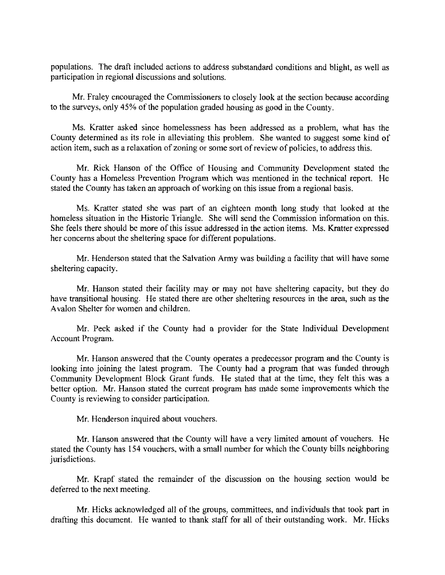populations. The draft included actions to address substandard conditions and blight, as well as participation in regional discussions and solutions.

Mr. Fraley encouraged the Commissioners to closely look at the section because according to the surveys, only 45% of the population graded housing as good in the County.

Ms. Kratter asked since homelessness has been addressed as a problem, what has the County determined as its role in alleviating this problem. She wanted to suggest some kind of action item, such as a relaxation of zoning or some sort of review of policies, to address this.

Mr. Rick Hanson of the Office of Housing and Community Development stated the County has a Homeless Prevention Program which was mentioned in the technical report. He stated the County has taken an approach of working on this issue from a regional basis.

Ms. Kratter stated she was part of an eighteen month long study that looked at the homeless situation in the Historic Triangle. She will send the Commission information on this. She feels there should be more of this issue addressed in the action items. Ms. Kratter expressed her concerns about the sheltering space for different populations.

Mr. Henderson stated that the Salvation Anny was building a facility that will have some sheltering capacity.

Mr. Hanson stated their facility may or may not have sheltering capacity, but they do have transitional housing. He stated there are other sheltering resources in the area, such as the A valon Shelter for women and children.

Mr. Peck asked if the County had a provider for the State Individual Development Account Program.

Mr. Hanson answered that the County operates a predecessor program and the County is looking into joining the latest program. The County had a program that was funded through Community Development Block Grant funds. He stated that at the time, they felt this was a better option. Mr. Hanson stated the current program has made some improvements which the County is reviewing to consider participation.

Mr. Henderson inquired about vouchers.

Mr. Hanson answered that the County will have a very limited amount of vouchers. He stated the County has 154 vouchers, with a small number for which the County bills neighboring jurisdictions.

Mr. Krapf stated the remainder of the discussion on the housing section would be deferred to the next meeting.

Mr. Hicks acknowledged all of the groups, committees, and individuals that took part in drafting this document. He wanted to thank staff for all of their outstanding work. Mr. Hicks